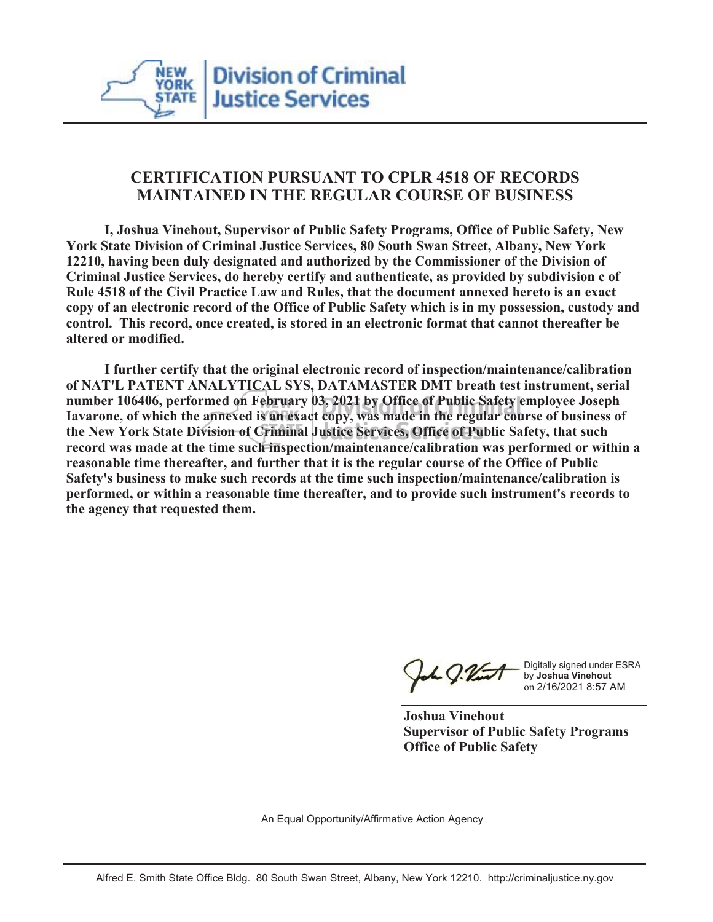

## **CERTIFICATION PURSUANT TO CPLR 4518 OF RECORDS MAINTAINED IN THE REGULAR COURSE OF BUSINESS**

 **I, Joshua Vinehout, Supervisor of Public Safety Programs, Office of Public Safety, New York State Division of Criminal Justice Services, 80 South Swan Street, Albany, New York 12210, having been duly designated and authorized by the Commissioner of the Division of Criminal Justice Services, do hereby certify and authenticate, as provided by subdivision c of Rule 4518 of the Civil Practice Law and Rules, that the document annexed hereto is an exact copy of an electronic record of the Office of Public Safety which is in my possession, custody and control. This record, once created, is stored in an electronic format that cannot thereafter be altered or modified.**

 **I further certify that the original electronic record of inspection/maintenance/calibration of NAT'L PATENT ANALYTICAL SYS, DATAMASTER DMT breath test instrument, serial number 106406, performed on February 03, 2021 by Office of Public Safety employee Joseph Iavarone, of which the annexed is an exact copy, was made in the regular course of business of the New York State Division of Criminal Justice Services, Office of Public Safety, that such record was made at the time such inspection/maintenance/calibration was performed or within a reasonable time thereafter, and further that it is the regular course of the Office of Public Safety's business to make such records at the time such inspection/maintenance/calibration is performed, or within a reasonable time thereafter, and to provide such instrument's records to the agency that requested them.**

L J.Vint

Digitally signed under ESRA by **Joshua Vinehout** on 2/16/2021 8:57 AM

**Joshua Vinehout Supervisor of Public Safety Programs Office of Public Safety**

An Equal Opportunity/Affirmative Action Agency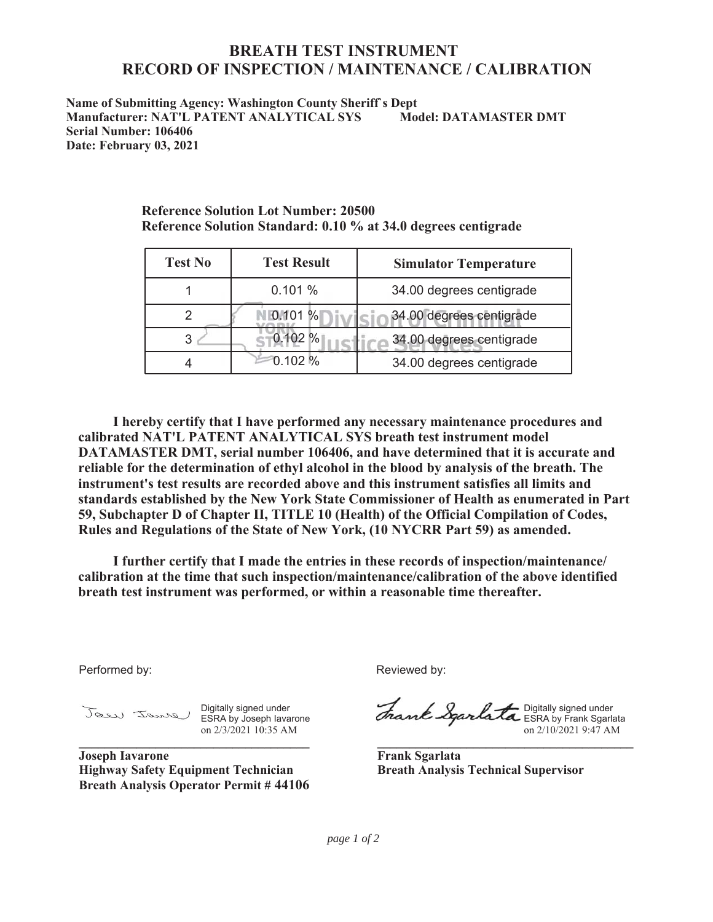## **BREATH TEST INSTRUMENT RECORD OF INSPECTION / MAINTENANCE / CALIBRATION**

**Name of Submitting Agency: Washington County Sheriff`s Dept Manufacturer: NAT'L PATENT ANALYTICAL SYS Model: DATAMASTER DMT Serial Number: 106406 Date: February 03, 2021**

**Reference Solution Standard: 0.10 % at 34.0 degrees centigrade**

**Reference Solution Lot Number: 20500**

| <b>Test No</b> | <b>Test Result</b> | <b>Simulator Temperature</b> |
|----------------|--------------------|------------------------------|
|                | 0.101%             | 34.00 degrees centigrade     |
|                | 0.101%             | 34.00 degrees centigrade     |
|                | 0.102 %            | 34.00 degrees centigrade     |
|                | 0.102%             | 34.00 degrees centigrade     |

 **I hereby certify that I have performed any necessary maintenance procedures and calibrated NAT'L PATENT ANALYTICAL SYS breath test instrument model DATAMASTER DMT, serial number 106406, and have determined that it is accurate and reliable for the determination of ethyl alcohol in the blood by analysis of the breath. The instrument's test results are recorded above and this instrument satisfies all limits and standards established by the New York State Commissioner of Health as enumerated in Part 59, Subchapter D of Chapter II, TITLE 10 (Health) of the Official Compilation of Codes, Rules and Regulations of the State of New York, (10 NYCRR Part 59) as amended.**

 **I further certify that I made the entries in these records of inspection/maintenance/ calibration at the time that such inspection/maintenance/calibration of the above identified breath test instrument was performed, or within a reasonable time thereafter.**

Performed by:

Digitally signed under ESRA by Joseph Iavarone on 2/3/2021 10:35 AM **\_\_\_\_\_\_\_\_\_\_\_\_\_\_\_\_\_\_\_\_\_\_\_\_\_\_\_\_\_\_\_\_\_\_\_\_**

**Joseph Iavarone Highway Safety Equipment Technician Breath Analysis Operator Permit # 44106** Reviewed by:

Digitally signed under ESRA by Frank Sgarlata on 2/10/2021 9:47 AM

**\_\_\_\_\_\_\_\_\_\_\_\_\_\_\_\_\_\_\_\_\_\_\_\_\_\_\_\_\_\_\_\_\_\_\_\_\_\_\_\_**

**Frank Sgarlata Breath Analysis Technical Supervisor**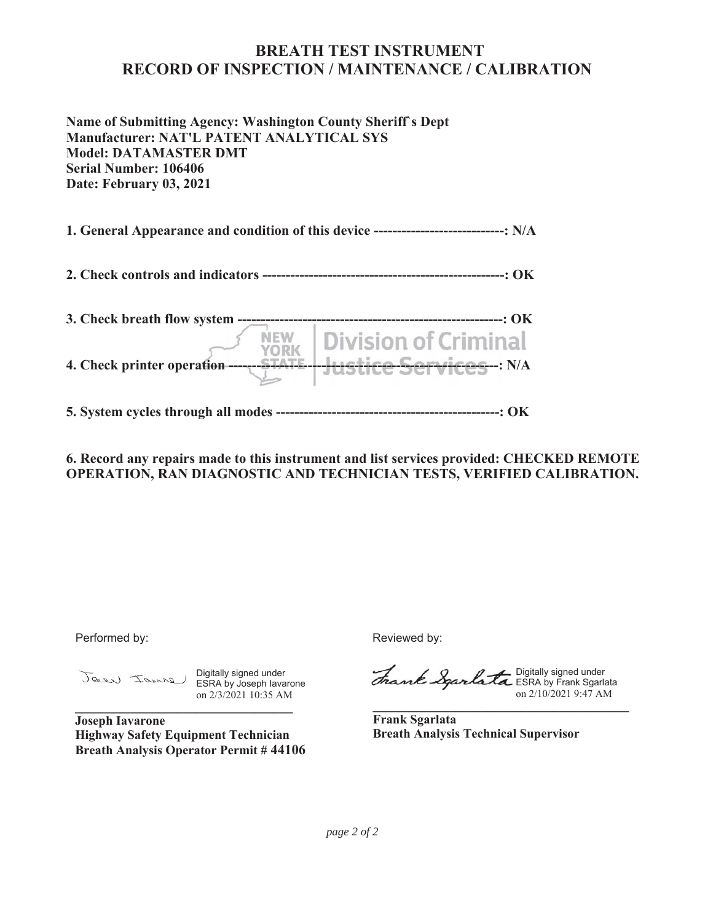## **BREATH TEST INSTRUMENT RECORD OF INSPECTION / MAINTENANCE / CALIBRATION**

**Name of Submitting Agency: Washington County Sheriff`s Dept Manufacturer: NAT'L PATENT ANALYTICAL SYS Model: DATAMASTER DMT Serial Number: 106406 Date: February 03, 2021**

**1. General Appearance and condition of this device ----------------------------: N/A**

**2. Check controls and indicators ----------------------------------------------------: OK**

| 3. Check breath flow system     |                                                                |
|---------------------------------|----------------------------------------------------------------|
| 4. Check printer operation ---- | NEW   Division of Criminal<br><del>tice Services -</del> : N/A |

**5. System cycles through all modes ------------------------------------------------: OK**

**6. Record any repairs made to this instrument and list services provided: CHECKED REMOTE OPERATION, RAN DIAGNOSTIC AND TECHNICIAN TESTS, VERIFIED CALIBRATION.**

Performed by:

Digitally signed under ESRA by Joseph Iavarone on 2/3/2021 10:35 AM **\_\_\_\_\_\_\_\_\_\_\_\_\_\_\_\_\_\_\_\_\_\_\_\_\_\_\_\_\_\_\_\_\_\_**

**Joseph Iavarone Highway Safety Equipment Technician Breath Analysis Operator Permit # 44106** Reviewed by:

Digitally signed under ESRA by Frank Sgarlata on 2/10/2021 9:47 AM

**Frank Sgarlata Breath Analysis Technical Supervisor**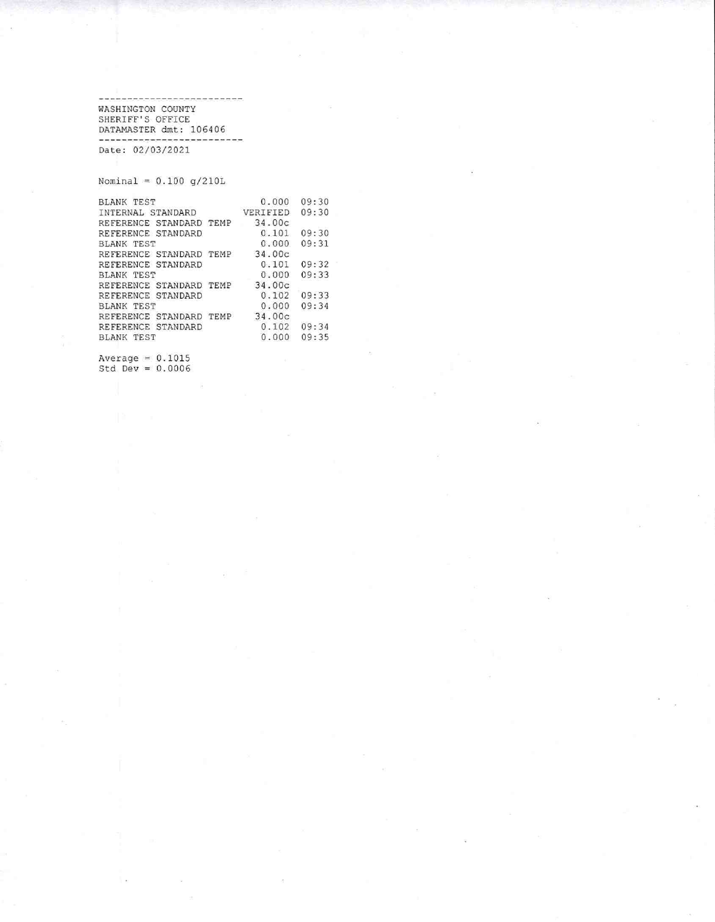------------------WASHINGTON COUNTY<br>SHERIFF'S OFFICE<br>DATAMASTER dmt: 106406 -------------------------

Date: 02/03/2021

Nominal =  $0.100 g/210L$ 

| BLANK TEST                     | 0.000    | 09:30 |
|--------------------------------|----------|-------|
| INTERNAL STANDARD              | VERIFIED | 09:30 |
| REFERENCE STANDARD TEMP        | 34.00c   |       |
| REFERENCE STANDARD             | 0.101    | 09:30 |
| BLANK TEST                     | 0.000    | 09:31 |
| REFERENCE STANDARD TEMP 34.00c |          |       |
| REFERENCE STANDARD             | 0.101    | 09:32 |
| <b>BLANK TEST</b>              | 0.000    | 09:33 |
| REFERENCE STANDARD TEMP        | 34.00c   |       |
| REFERENCE STANDARD             | 0.102    | 09:33 |
| BLANK TEST                     | 0.000    | 09:34 |
| REFERENCE STANDARD TEMP        | 34.00c   |       |
| REFERENCE STANDARD             | 0.102    | 09:34 |
| <b>BLANK TEST</b>              | 0.000    | 09:35 |
|                                |          |       |

Average =  $0.1015$ <br>Std Dev =  $0.0006$